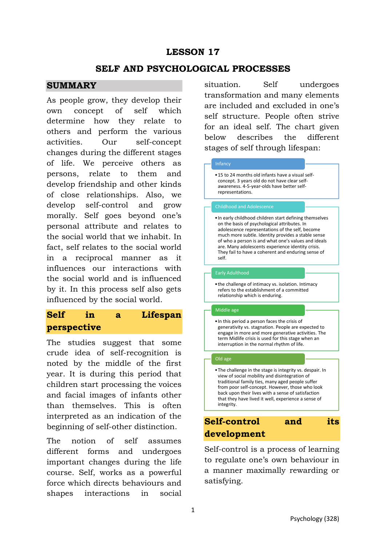# **LESSON 17**

### **SELF AND PSYCHOLOGICAL PROCESSES**

### **SUMMARY**

As people grow, they develop their own concept of self which determine how they relate to others and perform the various activities. Our self-concept changes during the different stages of life. We perceive others as persons, relate to them and develop friendship and other kinds of close relationships. Also, we develop self-control and grow morally. Self goes beyond one's personal attribute and relates to the social world that we inhabit. In fact, self relates to the social world in a reciprocal manner as it influences our interactions with the social world and is influenced by it. In this process self also gets influenced by the social world.

# **Self in a Lifespan perspective**

The studies suggest that some crude idea of self-recognition is noted by the middle of the first year. It is during this period that children start processing the voices and facial images of infants other than themselves. This is often interpreted as an indication of the beginning of self-other distinction.

The notion of self assumes different forms and undergoes important changes during the life course. Self, works as a powerful force which directs behaviours and shapes interactions in social situation. Self undergoes transformation and many elements are included and excluded in one's self structure. People often strive for an ideal self. The chart given below describes the different stages of self through lifespan:

### Infancy

•15 to 24 months old infants have a visual selfconcept. 3 years old do not have clear selfawareness. 4-5-year-olds have better selfrepresentations.

•In early childhood children start defining themselves on the basis of psychological attributes. In adolescence representations of the self, become much more subtle. Identity provides a stable sense of who a person is and what one's values and ideals are. Many adolescents experience identity crisis. They fail to have a coherent and enduring sense of self.

#### Early Adulthood

•the challenge of intimacy vs. isolation. Intimacy refers to the establishment of a committed relationship which is enduring.

#### Middle age

•In this period a person faces the crisis of generativity vs. stagnation. People are expected to engage in more and more generative activities. The term Midlife crisis is used for this stage when an interruption in the normal rhythm of life.

#### Old age

•The challenge in the stage is integrity vs. despair. In view of social mobility and disintegration of traditional family ties, many aged people suffer from poor self-concept. However, those who look back upon their lives with a sense of satisfaction that they have lived it well, experience a sense of integrity.

# **Self-control and its development**

Self-control is a process of learning to regulate one's own behaviour in a manner maximally rewarding or satisfying.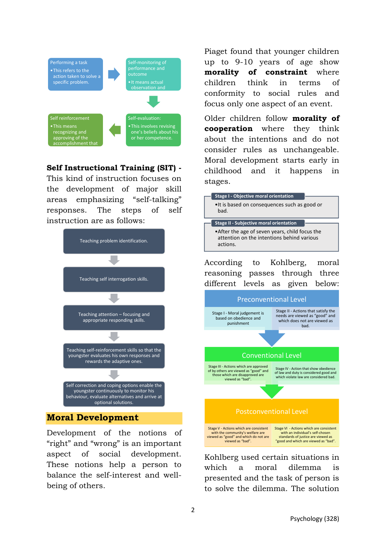

### **Self Instructional Training (SIT) -**

This kind of instruction focuses on the development of major skill areas emphasizing "self-talking" responses. The steps of self instruction are as follows:



### **Moral Development**

Development of the notions of "right" and "wrong" is an important aspect of social development. These notions help a person to balance the self-interest and wellbeing of others.

Piaget found that younger children up to 9-10 years of age show **morality of constraint** where children think in terms of conformity to social rules and focus only one aspect of an event.

Older children follow **morality of cooperation** where they think about the intentions and do not consider rules as unchangeable. Moral development starts early in childhood and it happens in stages.



Kohlberg used certain situations in which a moral dilemma is presented and the task of person is to solve the dilemma. The solution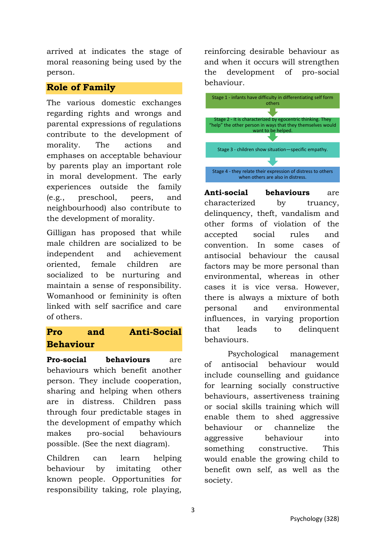arrived at indicates the stage of moral reasoning being used by the person.

## **Role of Family**

The various domestic exchanges regarding rights and wrongs and parental expressions of regulations contribute to the development of morality. The actions and emphases on acceptable behaviour by parents play an important role in moral development. The early experiences outside the family (e.g., preschool, peers, and neighbourhood) also contribute to the development of morality.

Gilligan has proposed that while male children are socialized to be independent and achievement oriented, female children are socialized to be nurturing and maintain a sense of responsibility. Womanhood or femininity is often linked with self sacrifice and care of others.

# **Pro and Anti-Social Behaviour**

**Pro-social behaviours** are behaviours which benefit another person. They include cooperation, sharing and helping when others are in distress. Children pass through four predictable stages in the development of empathy which makes pro-social behaviours possible. (See the next diagram).

Children can learn helping behaviour by imitating other known people. Opportunities for responsibility taking, role playing,

reinforcing desirable behaviour as and when it occurs will strengthen the development of pro-social behaviour.



**Anti-social behaviours** are characterized by truancy, delinquency, theft, vandalism and other forms of violation of the accepted social rules and convention. In some cases of antisocial behaviour the causal factors may be more personal than environmental, whereas in other cases it is vice versa. However, there is always a mixture of both personal and environmental influences, in varying proportion that leads to delinquent behaviours.

Psychological management of antisocial behaviour would include counselling and guidance for learning socially constructive behaviours, assertiveness training or social skills training which will enable them to shed aggressive behaviour or channelize the aggressive behaviour into something constructive. This would enable the growing child to benefit own self, as well as the society.